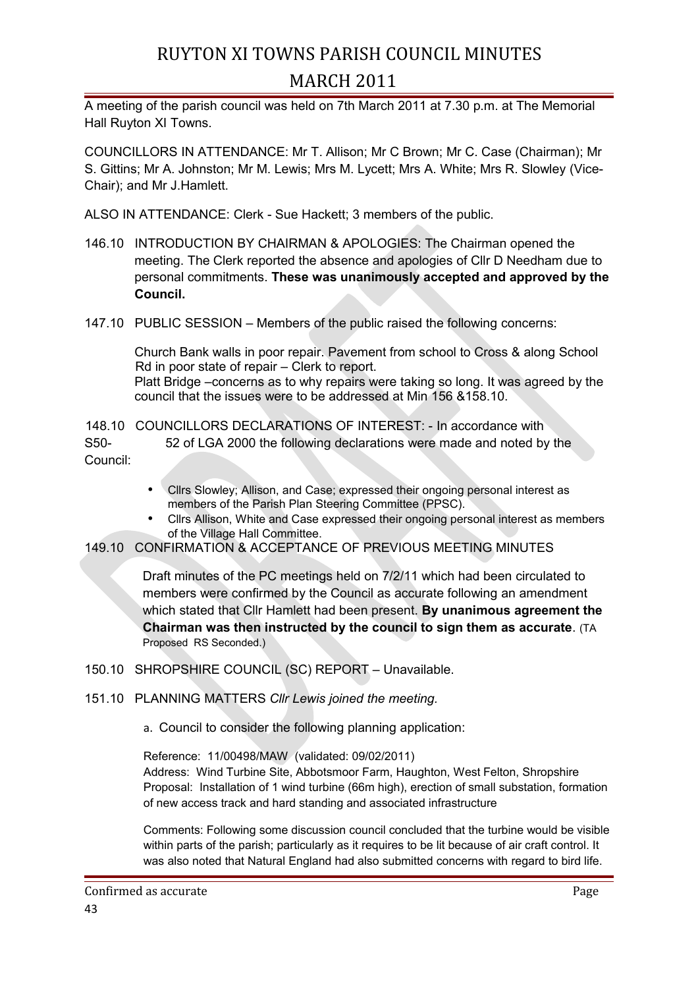## RUYTON XI TOWNS PARISH COUNCIL MINUTES MARCH 2011

A meeting of the parish council was held on 7th March 2011 at 7.30 p.m. at The Memorial Hall Ruyton XI Towns.

COUNCILLORS IN ATTENDANCE: Mr T. Allison; Mr C Brown; Mr C. Case (Chairman); Mr S. Gittins; Mr A. Johnston; Mr M. Lewis; Mrs M. Lycett; Mrs A. White; Mrs R. Slowley (Vice-Chair); and Mr J.Hamlett.

ALSO IN ATTENDANCE: Clerk - Sue Hackett; 3 members of the public.

- 146.10 INTRODUCTION BY CHAIRMAN & APOLOGIES: The Chairman opened the meeting. The Clerk reported the absence and apologies of Cllr D Needham due to personal commitments. **These was unanimously accepted and approved by the Council.**
- 147.10 PUBLIC SESSION Members of the public raised the following concerns:

Church Bank walls in poor repair. Pavement from school to Cross & along School Rd in poor state of repair – Clerk to report. Platt Bridge –concerns as to why repairs were taking so long. It was agreed by the council that the issues were to be addressed at Min 156 &158.10.

148.10 COUNCILLORS DECLARATIONS OF INTEREST: - In accordance with S50- 52 of LGA 2000 the following declarations were made and noted by the Council:

- Cllrs Slowley; Allison, and Case; expressed their ongoing personal interest as members of the Parish Plan Steering Committee (PPSC).
- Cllrs Allison, White and Case expressed their ongoing personal interest as members of the Village Hall Committee.
- 149.10 CONFIRMATION & ACCEPTANCE OF PREVIOUS MEETING MINUTES

Draft minutes of the PC meetings held on 7/2/11 which had been circulated to members were confirmed by the Council as accurate following an amendment which stated that Cllr Hamlett had been present. **By unanimous agreement the Chairman was then instructed by the council to sign them as accurate**. (TA Proposed RS Seconded.)

- 150.10 SHROPSHIRE COUNCIL (SC) REPORT Unavailable.
- 151.10 PLANNING MATTERS *Cllr Lewis joined the meeting.*
	- a. Council to consider the following planning application:

Reference: 11/00498/MAW (validated: 09/02/2011) Address: Wind Turbine Site, Abbotsmoor Farm, Haughton, West Felton, Shropshire Proposal: Installation of 1 wind turbine (66m high), erection of small substation, formation of new access track and hard standing and associated infrastructure

Comments: Following some discussion council concluded that the turbine would be visible within parts of the parish; particularly as it requires to be lit because of air craft control. It was also noted that Natural England had also submitted concerns with regard to bird life.

Confirmed as accurate **Page** 43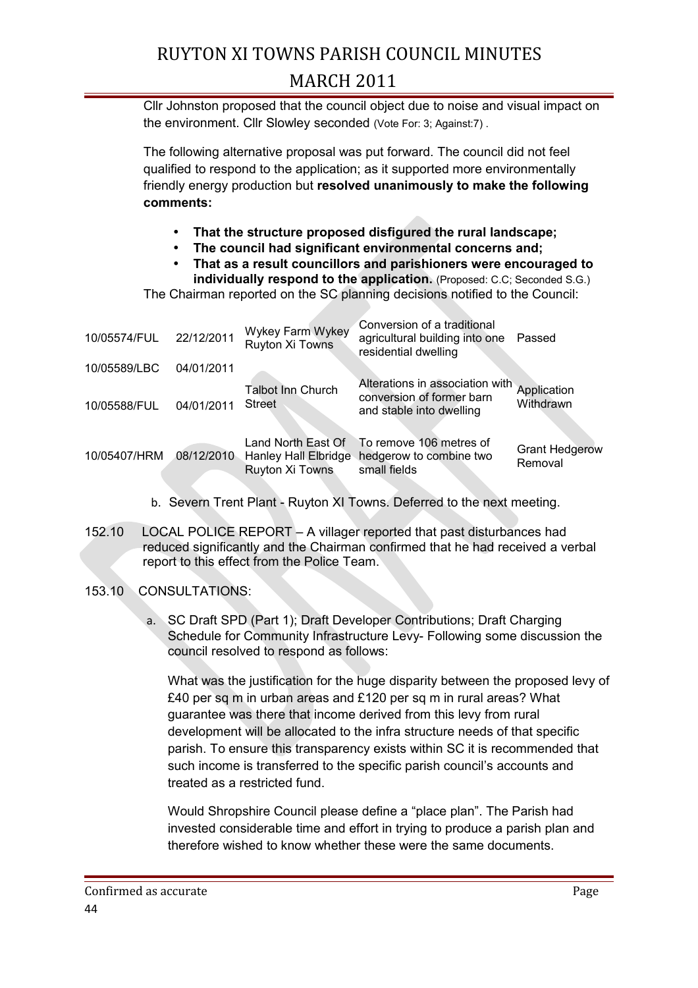# RUYTON XI TOWNS PARISH COUNCIL MINUTES MARCH 2011

Cllr Johnston proposed that the council object due to noise and visual impact on the environment. Cllr Slowley seconded (Vote For: 3; Against:7) .

The following alternative proposal was put forward. The council did not feel qualified to respond to the application; as it supported more environmentally friendly energy production but **resolved unanimously to make the following comments:**

- **That the structure proposed disfigured the rural landscape;**
- **The council had significant environmental concerns and;**
- **That as a result councillors and parishioners were encouraged to individually respond to the application.** (Proposed: C.C: Seconded S.G.)

The Chairman reported on the SC planning decisions notified to the Council:

| 10/05574/FUL | 22/12/2011 | Wykey Farm Wykey<br>Ruyton Xi Towns                           | Conversion of a traditional<br>agricultural building into one<br>residential dwelling    | Passed                           |
|--------------|------------|---------------------------------------------------------------|------------------------------------------------------------------------------------------|----------------------------------|
| 10/05589/LBC | 04/01/2011 |                                                               |                                                                                          |                                  |
| 10/05588/FUL | 04/01/2011 | <b>Talbot Inn Church</b><br><b>Street</b>                     | Alterations in association with<br>conversion of former barn<br>and stable into dwelling | Application<br>Withdrawn         |
| 10/05407/HRM | 08/12/2010 | Land North East Of<br>Hanley Hall Elbridge<br>Ruyton Xi Towns | To remove 106 metres of<br>hedgerow to combine two<br>small fields                       | <b>Grant Hedgerow</b><br>Removal |

- b. Severn Trent Plant Ruyton XI Towns. Deferred to the next meeting.
- 152.10 LOCAL POLICE REPORT A villager reported that past disturbances had reduced significantly and the Chairman confirmed that he had received a verbal report to this effect from the Police Team.

#### 153.10 CONSULTATIONS:

a. SC Draft SPD (Part 1); Draft Developer Contributions; Draft Charging Schedule for Community Infrastructure Levy- Following some discussion the council resolved to respond as follows:

What was the justification for the huge disparity between the proposed levy of £40 per sq m in urban areas and £120 per sq m in rural areas? What guarantee was there that income derived from this levy from rural development will be allocated to the infra structure needs of that specific parish. To ensure this transparency exists within SC it is recommended that such income is transferred to the specific parish council's accounts and treated as a restricted fund.

Would Shropshire Council please define a "place plan". The Parish had invested considerable time and effort in trying to produce a parish plan and therefore wished to know whether these were the same documents.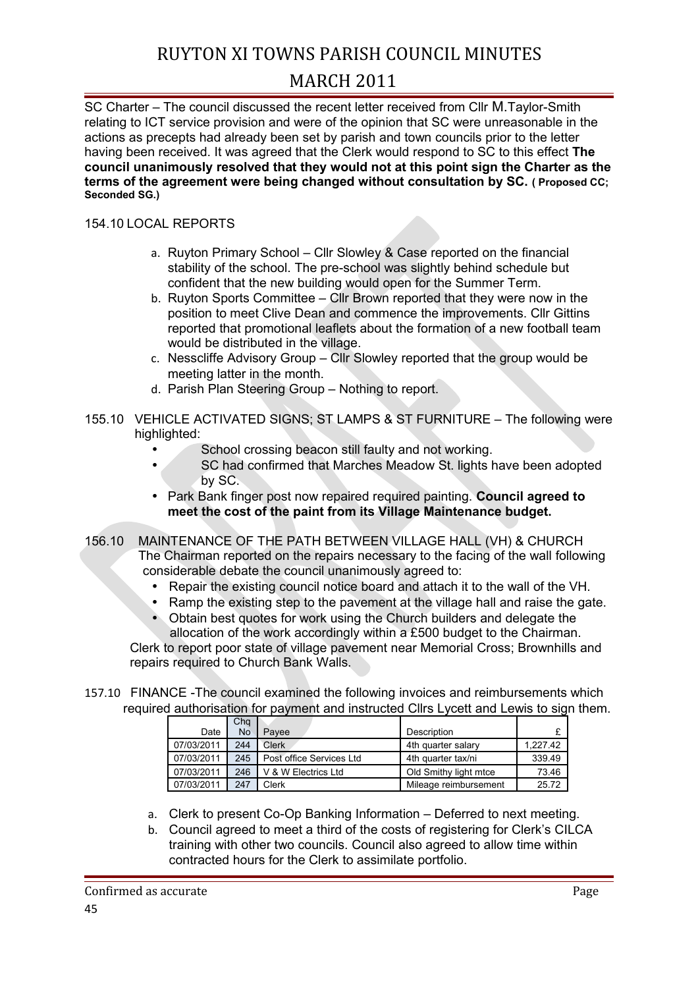### RUYTON XI TOWNS PARISH COUNCIL MINUTES

### MARCH 2011

SC Charter – The council discussed the recent letter received from Cllr M.Taylor-Smith relating to ICT service provision and were of the opinion that SC were unreasonable in the actions as precepts had already been set by parish and town councils prior to the letter having been received. It was agreed that the Clerk would respond to SC to this effect **The council unanimously resolved that they would not at this point sign the Charter as the terms of the agreement were being changed without consultation by SC. ( Proposed CC; Seconded SG.)** 

#### 154.10 LOCAL REPORTS

- a. Ruyton Primary School Cllr Slowley & Case reported on the financial stability of the school. The pre-school was slightly behind schedule but confident that the new building would open for the Summer Term.
- b. Ruyton Sports Committee Cllr Brown reported that they were now in the position to meet Clive Dean and commence the improvements. Cllr Gittins reported that promotional leaflets about the formation of a new football team would be distributed in the village.
- c. Nesscliffe Advisory Group Cllr Slowley reported that the group would be meeting latter in the month.
- d. Parish Plan Steering Group Nothing to report.
- 155.10 VEHICLE ACTIVATED SIGNS; ST LAMPS & ST FURNITURE The following were highlighted:
	- School crossing beacon still faulty and not working.
		- SC had confirmed that Marches Meadow St. lights have been adopted by SC.
	- Park Bank finger post now repaired required painting. **Council agreed to meet the cost of the paint from its Village Maintenance budget.**
- 156.10 MAINTENANCE OF THE PATH BETWEEN VILLAGE HALL (VH) & CHURCH The Chairman reported on the repairs necessary to the facing of the wall following considerable debate the council unanimously agreed to:
	- Repair the existing council notice board and attach it to the wall of the VH.
	- Ramp the existing step to the pavement at the village hall and raise the gate.
	- Obtain best quotes for work using the Church builders and delegate the allocation of the work accordingly within a £500 budget to the Chairman.
	- Clerk to report poor state of village pavement near Memorial Cross; Brownhills and repairs required to Church Bank Walls.
- 157.10 FINANCE -The council examined the following invoices and reimbursements which required authorisation for payment and instructed Cllrs Lycett and Lewis to sign them.

|            | Cha       |                          |                       |          |
|------------|-----------|--------------------------|-----------------------|----------|
| Date       | <b>No</b> | Pavee                    | Description           |          |
| 07/03/2011 | 244       | Clerk                    | 4th quarter salary    | 1.227.42 |
| 07/03/2011 | 245       | Post office Services Ltd | 4th quarter tax/ni    | 339.49   |
| 07/03/2011 | 246       | V & W Electrics Ltd      | Old Smithy light mtce | 73.46    |
| 07/03/2011 | 247       | Clerk                    | Mileage reimbursement | 25.72    |

- a. Clerk to present Co-Op Banking Information Deferred to next meeting.
- b. Council agreed to meet a third of the costs of registering for Clerk's CILCA training with other two councils. Council also agreed to allow time within contracted hours for the Clerk to assimilate portfolio.